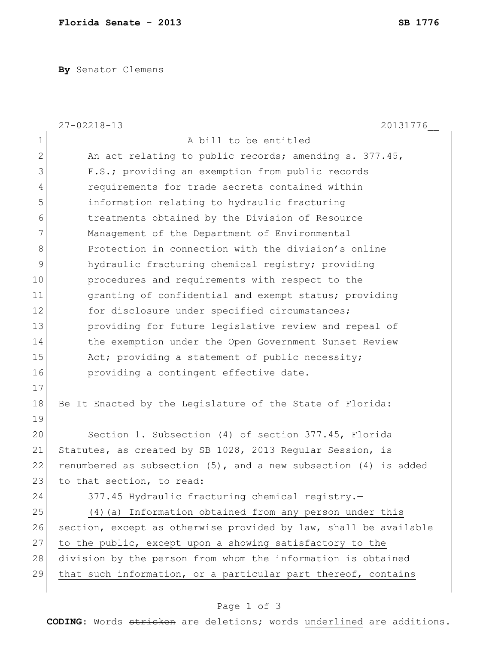**By** Senator Clemens

|              | $27 - 02218 - 13$<br>20131776                                        |
|--------------|----------------------------------------------------------------------|
| $\mathbf 1$  | A bill to be entitled                                                |
| $\mathbf{2}$ | An act relating to public records; amending s. 377.45,               |
| 3            | F.S.; providing an exemption from public records                     |
| 4            | requirements for trade secrets contained within                      |
| 5            | information relating to hydraulic fracturing                         |
| 6            | treatments obtained by the Division of Resource                      |
| 7            | Management of the Department of Environmental                        |
| 8            | Protection in connection with the division's online                  |
| 9            | hydraulic fracturing chemical registry; providing                    |
| 10           | procedures and requirements with respect to the                      |
| 11           | granting of confidential and exempt status; providing                |
| 12           | for disclosure under specified circumstances;                        |
| 13           | providing for future legislative review and repeal of                |
| 14           | the exemption under the Open Government Sunset Review                |
| 15           | Act; providing a statement of public necessity;                      |
| 16           | providing a contingent effective date.                               |
| 17           |                                                                      |
| 18           | Be It Enacted by the Legislature of the State of Florida:            |
| 19           |                                                                      |
| 20           | Section 1. Subsection (4) of section 377.45, Florida                 |
| 21           | Statutes, as created by SB 1028, 2013 Regular Session, is            |
| 22           | renumbered as subsection $(5)$ , and a new subsection $(4)$ is added |
| 23           | to that section, to read:                                            |
| 24           | 377.45 Hydraulic fracturing chemical registry.-                      |
| 25           | (4) (a) Information obtained from any person under this              |
| 26           | section, except as otherwise provided by law, shall be available     |
| 27           | to the public, except upon a showing satisfactory to the             |
| 28           | division by the person from whom the information is obtained         |
| 29           | that such information, or a particular part thereof, contains        |
|              |                                                                      |

## Page 1 of 3

**CODING**: Words stricken are deletions; words underlined are additions.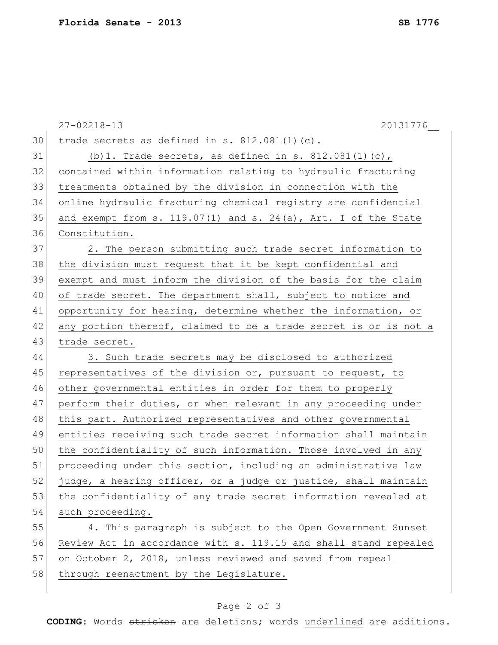|    | 20131776<br>$27 - 02218 - 13$                                    |
|----|------------------------------------------------------------------|
| 30 | trade secrets as defined in s. 812.081(1)(c).                    |
| 31 | (b) 1. Trade secrets, as defined in s. $812.081(1)(c)$ ,         |
| 32 | contained within information relating to hydraulic fracturing    |
| 33 | treatments obtained by the division in connection with the       |
| 34 | online hydraulic fracturing chemical registry are confidential   |
| 35 | and exempt from s. 119.07(1) and s. 24(a), Art. I of the State   |
| 36 | Constitution.                                                    |
| 37 | 2. The person submitting such trade secret information to        |
| 38 | the division must request that it be kept confidential and       |
| 39 | exempt and must inform the division of the basis for the claim   |
| 40 | of trade secret. The department shall, subject to notice and     |
| 41 | opportunity for hearing, determine whether the information, or   |
| 42 | any portion thereof, claimed to be a trade secret is or is not a |
| 43 | trade secret.                                                    |
| 44 | 3. Such trade secrets may be disclosed to authorized             |
| 45 | representatives of the division or, pursuant to request, to      |
| 46 | other governmental entities in order for them to properly        |
| 47 | perform their duties, or when relevant in any proceeding under   |
| 48 | this part. Authorized representatives and other governmental     |
| 49 | entities receiving such trade secret information shall maintain  |
| 50 | the confidentiality of such information. Those involved in any   |
| 51 | proceeding under this section, including an administrative law   |
| 52 | judge, a hearing officer, or a judge or justice, shall maintain  |
| 53 | the confidentiality of any trade secret information revealed at  |
| 54 | such proceeding.                                                 |
| 55 | 4. This paragraph is subject to the Open Government Sunset       |
| 56 | Review Act in accordance with s. 119.15 and shall stand repealed |
| 57 | on October 2, 2018, unless reviewed and saved from repeal        |
| 58 | through reenactment by the Legislature.                          |
|    |                                                                  |

## Page 2 of 3

**CODING**: Words stricken are deletions; words underlined are additions.